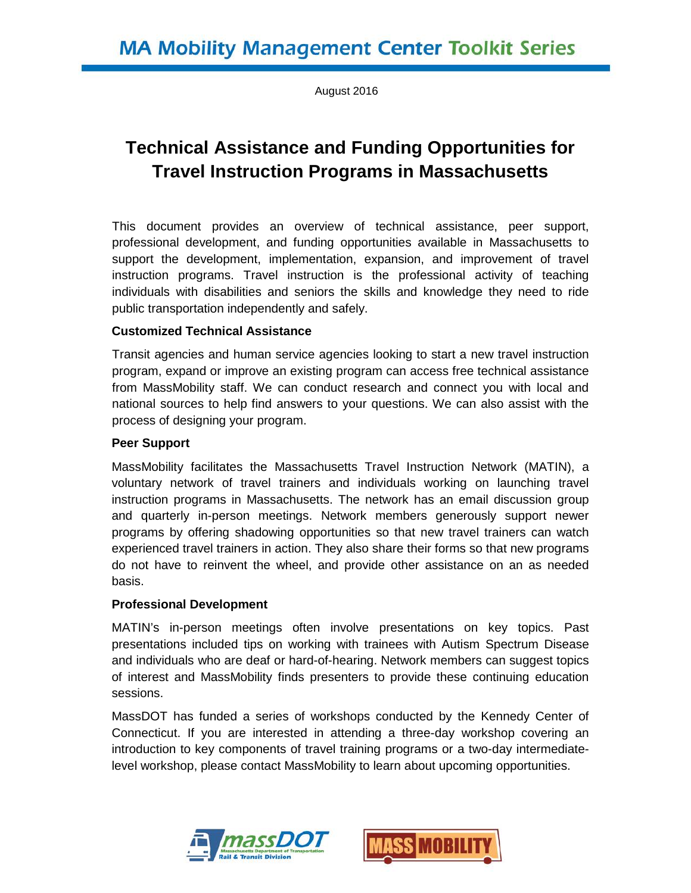August 2016

# **Technical Assistance and Funding Opportunities for Travel Instruction Programs in Massachusetts**

This document provides an overview of technical assistance, peer support, professional development, and funding opportunities available in Massachusetts to support the development, implementation, expansion, and improvement of travel instruction programs. Travel instruction is the professional activity of teaching individuals with disabilities and seniors the skills and knowledge they need to ride public transportation independently and safely.

### **Customized Technical Assistance**

Transit agencies and human service agencies looking to start a new travel instruction program, expand or improve an existing program can access free technical assistance from MassMobility staff. We can conduct research and connect you with local and national sources to help find answers to your questions. We can also assist with the process of designing your program.

#### **Peer Support**

MassMobility facilitates the Massachusetts Travel Instruction Network (MATIN), a voluntary network of travel trainers and individuals working on launching travel instruction programs in Massachusetts. The network has an email discussion group and quarterly in-person meetings. Network members generously support newer programs by offering shadowing opportunities so that new travel trainers can watch experienced travel trainers in action. They also share their forms so that new programs do not have to reinvent the wheel, and provide other assistance on an as needed basis.

#### **Professional Development**

MATIN's in-person meetings often involve presentations on key topics. Past presentations included tips on working with trainees with Autism Spectrum Disease and individuals who are deaf or hard-of-hearing. Network members can suggest topics of interest and MassMobility finds presenters to provide these continuing education sessions.

MassDOT has funded a series of workshops conducted by the Kennedy Center of Connecticut. If you are interested in attending a three-day workshop covering an introduction to key components of travel training programs or a two-day intermediatelevel workshop, please contact MassMobility to learn about upcoming opportunities.